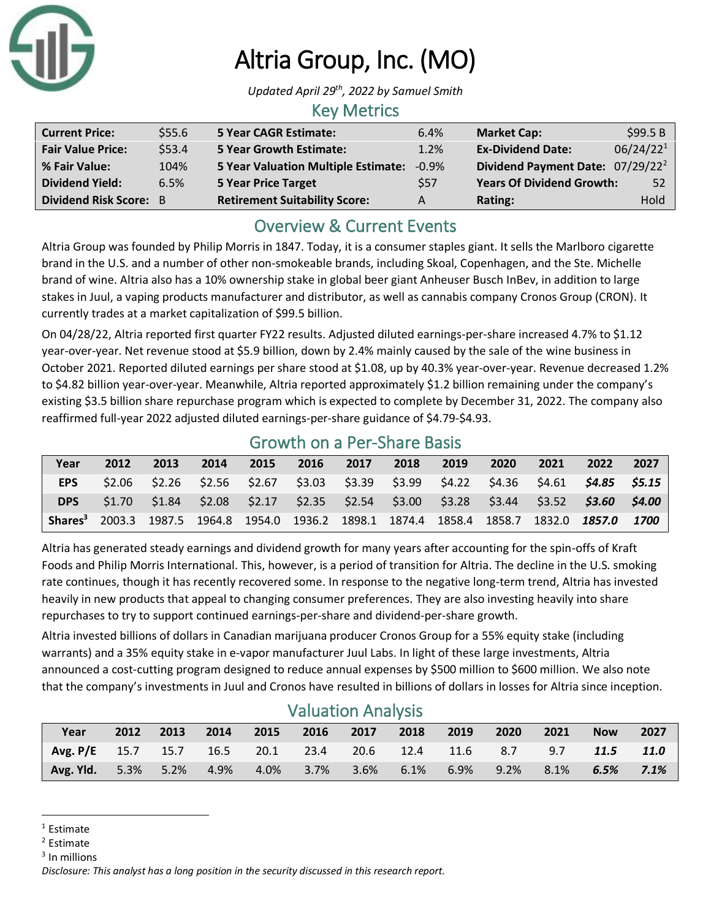

# Altria Group, Inc. (MO)

*Updated April 29th, 2022 by Samuel Smith*

#### Key Metrics

| <b>Current Price:</b>         | \$55.6 | 5 Year CAGR Estimate:                     | 6.4%       | <b>Market Cap:</b>                           | \$99.5B               |
|-------------------------------|--------|-------------------------------------------|------------|----------------------------------------------|-----------------------|
| <b>Fair Value Price:</b>      | \$53.4 | <b>5 Year Growth Estimate:</b>            | 1.2%       | <b>Ex-Dividend Date:</b>                     | 06/24/22 <sup>1</sup> |
| % Fair Value:                 | 104%   | 5 Year Valuation Multiple Estimate: -0.9% |            | Dividend Payment Date: 07/29/22 <sup>2</sup> |                       |
| <b>Dividend Yield:</b>        | 6.5%   | <b>5 Year Price Target</b>                | <b>S57</b> | <b>Years Of Dividend Growth:</b>             | 52                    |
| <b>Dividend Risk Score: B</b> |        | <b>Retirement Suitability Score:</b>      | А          | Rating:                                      | Hold                  |

## Overview & Current Events

Altria Group was founded by Philip Morris in 1847. Today, it is a consumer staples giant. It sells the Marlboro cigarette brand in the U.S. and a number of other non-smokeable brands, including Skoal, Copenhagen, and the Ste. Michelle brand of wine. Altria also has a 10% ownership stake in global beer giant Anheuser Busch InBev, in addition to large stakes in Juul, a vaping products manufacturer and distributor, as well as cannabis company Cronos Group (CRON). It currently trades at a market capitalization of \$99.5 billion.

On 04/28/22, Altria reported first quarter FY22 results. Adjusted diluted earnings-per-share increased 4.7% to \$1.12 year-over-year. Net revenue stood at \$5.9 billion, down by 2.4% mainly caused by the sale of the wine business in October 2021. Reported diluted earnings per share stood at \$1.08, up by 40.3% year-over-year. Revenue decreased 1.2% to \$4.82 billion year-over-year. Meanwhile, Altria reported approximately \$1.2 billion remaining under the company's existing \$3.5 billion share repurchase program which is expected to complete by December 31, 2022. The company also reaffirmed full-year 2022 adjusted diluted earnings-per-share guidance of \$4.79-\$4.93.

|            | OTOWELL OIT OFFICE DIRECT DODIO |      |      |                                                                                                         |  |  |  |  |      |      |                                                                                                 |      |
|------------|---------------------------------|------|------|---------------------------------------------------------------------------------------------------------|--|--|--|--|------|------|-------------------------------------------------------------------------------------------------|------|
| Year       | 2012                            | 2013 | 2014 | 2015 2016 2017 2018 2019                                                                                |  |  |  |  | 2020 | 2021 | 2022                                                                                            | 2027 |
| EPS        |                                 |      |      |                                                                                                         |  |  |  |  |      |      | $$2.06$ $$2.26$ $$2.56$ $$2.67$ $$3.03$ $$3.39$ $$3.99$ $$4.22$ $$4.36$ $$4.61$ $$4.85$ $$5.15$ |      |
| <b>DPS</b> |                                 |      |      |                                                                                                         |  |  |  |  |      |      | $$1.70$ $$1.84$ $$2.08$ $$2.17$ $$2.35$ $$2.54$ $$3.00$ $$3.28$ $$3.44$ $$3.52$ $$3.60$ $$4.00$ |      |
|            |                                 |      |      | <b>Shares</b> <sup>3</sup> 2003.3 1987.5 1964.8 1954.0 1936.2 1898.1 1874.4 1858.4 1858.7 1832.0 1857.0 |  |  |  |  |      |      |                                                                                                 | 1700 |

#### Growth on a Per-Share Basis

Altria has generated steady earnings and dividend growth for many years after accounting for the spin-offs of Kraft Foods and Philip Morris International. This, however, is a period of transition for Altria. The decline in the U.S. smoking rate continues, though it has recently recovered some. In response to the negative long-term trend, Altria has invested heavily in new products that appeal to changing consumer preferences. They are also investing heavily into share repurchases to try to support continued earnings-per-share and dividend-per-share growth.

Altria invested billions of dollars in Canadian marijuana producer Cronos Group for a 55% equity stake (including warrants) and a 35% equity stake in e-vapor manufacturer Juul Labs. In light of these large investments, Altria announced a cost-cutting program designed to reduce annual expenses by \$500 million to \$600 million. We also note that the company's investments in Juul and Cronos have resulted in billions of dollars in losses for Altria since inception.

| Year                                                 | 2012 | 2013 | 2014 | 2015 | <u>Valdacion / Marvois</u><br>2016 2017 2018 |         |         | 2019 | 2020    | 2021 | <b>Now</b> | 2027 |
|------------------------------------------------------|------|------|------|------|----------------------------------------------|---------|---------|------|---------|------|------------|------|
| Avg. P/E 15.7 15.7 16.5 20.1 23.4 20.6 12.4 11.6 8.7 |      |      |      |      |                                              |         |         |      |         | 9.7  | 11.5       | 11.0 |
| <b>Avg. Yld.</b> 5.3% 5.2%                           |      |      | 4.9% |      | 4.0% 3.7%                                    | $3.6\%$ | $6.1\%$ | 6.9% | $9.2\%$ | 8.1% | 6.5%       | 7.1% |

#### Valuation Analysis

<sup>3</sup> In millions

 $1$  Estimate

<sup>2</sup> Estimate

*Disclosure: This analyst has a long position in the security discussed in this research report.*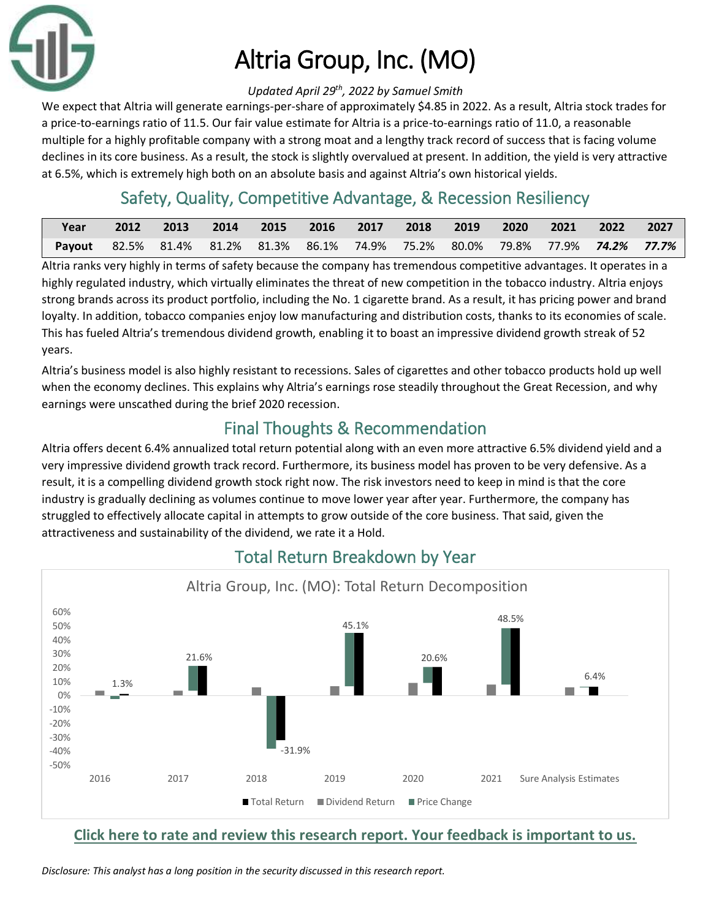

# Altria Group, Inc. (MO)

#### *Updated April 29th, 2022 by Samuel Smith*

We expect that Altria will generate earnings-per-share of approximately \$4.85 in 2022. As a result, Altria stock trades for a price-to-earnings ratio of 11.5. Our fair value estimate for Altria is a price-to-earnings ratio of 11.0, a reasonable multiple for a highly profitable company with a strong moat and a lengthy track record of success that is facing volume declines in its core business. As a result, the stock is slightly overvalued at present. In addition, the yield is very attractive at 6.5%, which is extremely high both on an absolute basis and against Altria's own historical yields.

# Safety, Quality, Competitive Advantage, & Recession Resiliency

| Year                                                                           | 2012 | $\sim$ 2013 |  |  |  | 2014 2015 2016 2017 2018 2019 2020 2021 2022 2027 |  |
|--------------------------------------------------------------------------------|------|-------------|--|--|--|---------------------------------------------------|--|
| Payout 82.5% 81.4% 81.2% 81.3% 86.1% 74.9% 75.2% 80.0% 79.8% 77.9% 74.2% 77.7% |      |             |  |  |  |                                                   |  |

Altria ranks very highly in terms of safety because the company has tremendous competitive advantages. It operates in a highly regulated industry, which virtually eliminates the threat of new competition in the tobacco industry. Altria enjoys strong brands across its product portfolio, including the No. 1 cigarette brand. As a result, it has pricing power and brand loyalty. In addition, tobacco companies enjoy low manufacturing and distribution costs, thanks to its economies of scale. This has fueled Altria's tremendous dividend growth, enabling it to boast an impressive dividend growth streak of 52 years.

Altria's business model is also highly resistant to recessions. Sales of cigarettes and other tobacco products hold up well when the economy declines. This explains why Altria's earnings rose steadily throughout the Great Recession, and why earnings were unscathed during the brief 2020 recession.

# Final Thoughts & Recommendation

Altria offers decent 6.4% annualized total return potential along with an even more attractive 6.5% dividend yield and a very impressive dividend growth track record. Furthermore, its business model has proven to be very defensive. As a result, it is a compelling dividend growth stock right now. The risk investors need to keep in mind is that the core industry is gradually declining as volumes continue to move lower year after year. Furthermore, the company has struggled to effectively allocate capital in attempts to grow outside of the core business. That said, given the attractiveness and sustainability of the dividend, we rate it a Hold.



## Total Return Breakdown by Year

#### **[Click here to rate and review this research report. Your feedback is important to us.](https://suredividend.typeform.com/to/cs7Wce/)**